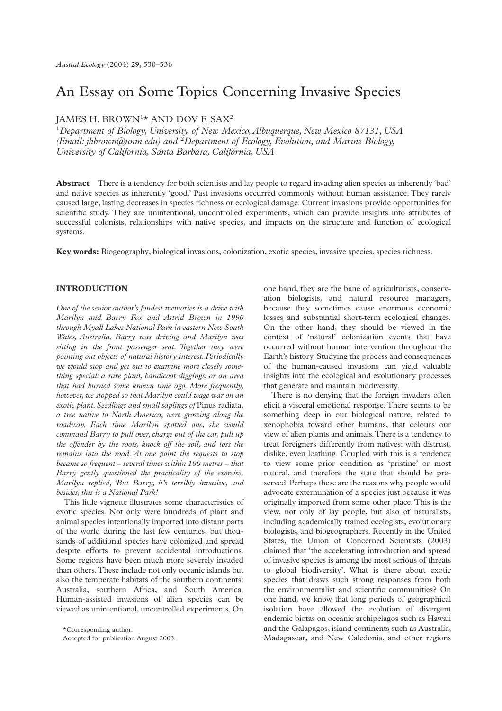# An Essay on Some Topics Concerning Invasive Species

# JAMES H. BROWN1\* AND DOV F. SAX2

<sup>1</sup>*Department of Biology, University of New Mexico, Albuquerque, New Mexico 87131, USA (Email: jhbrown@unm.edu) and* <sup>2</sup>*Department of Ecology, Evolution, and Marine Biology, University of California, Santa Barbara, California, USA*

**Abstract** There is a tendency for both scientists and lay people to regard invading alien species as inherently 'bad' and native species as inherently 'good.' Past invasions occurred commonly without human assistance. They rarely caused large, lasting decreases in species richness or ecological damage. Current invasions provide opportunities for scientific study. They are unintentional, uncontrolled experiments, which can provide insights into attributes of successful colonists, relationships with native species, and impacts on the structure and function of ecological systems.

**Key words:** Biogeography, biological invasions, colonization, exotic species, invasive species, species richness.

#### **INTRODUCTION**

*One of the senior author's fondest memories is a drive with Marilyn and Barry Fox and Astrid Brown in 1990 through Myall Lakes National Park in eastern New South Wales, Australia. Barry was driving and Marilyn was sitting in the front passenger seat. Together they were pointing out objects of natural history interest. Periodically we would stop and get out to examine more closely something special: a rare plant, bandicoot diggings, or an area that had burned some known time ago. More frequently, however, we stopped so that Marilyn could wage war on an exotic plant. Seedlings and small saplings of* Pinus radiata*, a tree native to North America, were growing along the roadway. Each time Marilyn spotted one, she would command Barry to pull over, charge out of the car, pull up the offender by the roots, knock off the soil, and toss the remains into the road. At one point the requests to stop became so frequent – several times within 100 metres – that Barry gently questioned the practicality of the exercise. Marilyn replied, 'But Barry, it's terribly invasive, and besides, this is a National Park!*

This little vignette illustrates some characteristics of exotic species. Not only were hundreds of plant and animal species intentionally imported into distant parts of the world during the last few centuries, but thousands of additional species have colonized and spread despite efforts to prevent accidental introductions. Some regions have been much more severely invaded than others. These include not only oceanic islands but also the temperate habitats of the southern continents: Australia, southern Africa, and South America. Human-assisted invasions of alien species can be viewed as unintentional, uncontrolled experiments. On

one hand, they are the bane of agriculturists, conservation biologists, and natural resource managers, because they sometimes cause enormous economic losses and substantial short-term ecological changes. On the other hand, they should be viewed in the context of 'natural' colonization events that have occurred without human intervention throughout the Earth's history. Studying the process and consequences of the human-caused invasions can yield valuable insights into the ecological and evolutionary processes that generate and maintain biodiversity.

There is no denying that the foreign invaders often elicit a visceral emotional response. There seems to be something deep in our biological nature, related to xenophobia toward other humans, that colours our view of alien plants and animals. There is a tendency to treat foreigners differently from natives: with distrust, dislike, even loathing. Coupled with this is a tendency to view some prior condition as 'pristine' or most natural, and therefore the state that should be preserved. Perhaps these are the reasons why people would advocate extermination of a species just because it was originally imported from some other place. This is the view, not only of lay people, but also of naturalists, including academically trained ecologists, evolutionary biologists, and biogeographers. Recently in the United States, the Union of Concerned Scientists (2003) claimed that 'the accelerating introduction and spread of invasive species is among the most serious of threats to global biodiversity'. What is there about exotic species that draws such strong responses from both the environmentalist and scientific communities? On one hand, we know that long periods of geographical isolation have allowed the evolution of divergent endemic biotas on oceanic archipelagos such as Hawaii and the Galapagos, island continents such as Australia, Madagascar, and New Caledonia, and other regions

<sup>\*</sup>Corresponding author.

Accepted for publication August 2003.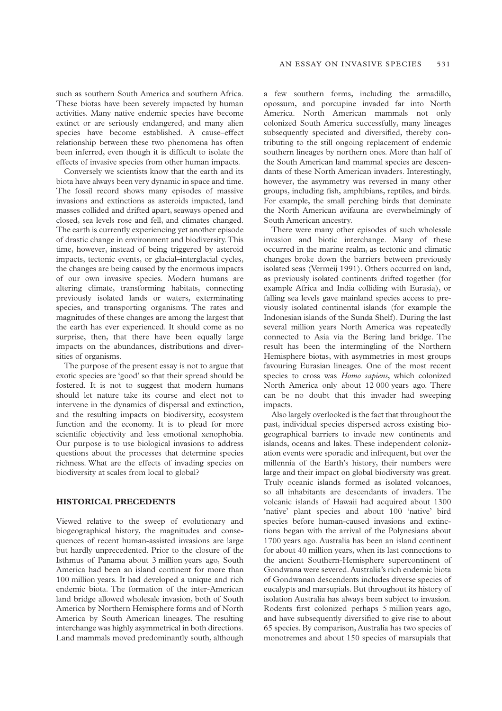such as southern South America and southern Africa. These biotas have been severely impacted by human activities. Many native endemic species have become extinct or are seriously endangered, and many alien species have become established. A cause–effect relationship between these two phenomena has often been inferred, even though it is difficult to isolate the effects of invasive species from other human impacts.

Conversely we scientists know that the earth and its biota have always been very dynamic in space and time. The fossil record shows many episodes of massive invasions and extinctions as asteroids impacted, land masses collided and drifted apart, seaways opened and closed, sea levels rose and fell, and climates changed. The earth is currently experiencing yet another episode of drastic change in environment and biodiversity. This time, however, instead of being triggered by asteroid impacts, tectonic events, or glacial–interglacial cycles, the changes are being caused by the enormous impacts of our own invasive species. Modern humans are altering climate, transforming habitats, connecting previously isolated lands or waters, exterminating species, and transporting organisms. The rates and magnitudes of these changes are among the largest that the earth has ever experienced. It should come as no surprise, then, that there have been equally large impacts on the abundances, distributions and diversities of organisms.

The purpose of the present essay is not to argue that exotic species are 'good' so that their spread should be fostered. It is not to suggest that modern humans should let nature take its course and elect not to intervene in the dynamics of dispersal and extinction, and the resulting impacts on biodiversity, ecosystem function and the economy. It is to plead for more scientific objectivity and less emotional xenophobia. Our purpose is to use biological invasions to address questions about the processes that determine species richness. What are the effects of invading species on biodiversity at scales from local to global?

#### **HISTORICAL PRECEDENTS**

Viewed relative to the sweep of evolutionary and biogeographical history, the magnitudes and consequences of recent human-assisted invasions are large but hardly unprecedented. Prior to the closure of the Isthmus of Panama about 3 million years ago, South America had been an island continent for more than 100 million years. It had developed a unique and rich endemic biota. The formation of the inter-American land bridge allowed wholesale invasion, both of South America by Northern Hemisphere forms and of North America by South American lineages. The resulting interchange was highly asymmetrical in both directions. Land mammals moved predominantly south, although

a few southern forms, including the armadillo, opossum, and porcupine invaded far into North America. North American mammals not only colonized South America successfully, many lineages subsequently speciated and diversified, thereby contributing to the still ongoing replacement of endemic southern lineages by northern ones. More than half of the South American land mammal species are descendants of these North American invaders. Interestingly, however, the asymmetry was reversed in many other groups, including fish, amphibians, reptiles, and birds. For example, the small perching birds that dominate the North American avifauna are overwhelmingly of South American ancestry.

There were many other episodes of such wholesale invasion and biotic interchange. Many of these occurred in the marine realm, as tectonic and climatic changes broke down the barriers between previously isolated seas (Vermeij 1991). Others occurred on land, as previously isolated continents drifted together (for example Africa and India colliding with Eurasia), or falling sea levels gave mainland species access to previously isolated continental islands (for example the Indonesian islands of the Sunda Shelf). During the last several million years North America was repeatedly connected to Asia via the Bering land bridge. The result has been the intermingling of the Northern Hemisphere biotas, with asymmetries in most groups favouring Eurasian lineages. One of the most recent species to cross was *Homo sapiens*, which colonized North America only about 12 000 years ago. There can be no doubt that this invader had sweeping impacts.

Also largely overlooked is the fact that throughout the past, individual species dispersed across existing biogeographical barriers to invade new continents and islands, oceans and lakes. These independent colonization events were sporadic and infrequent, but over the millennia of the Earth's history, their numbers were large and their impact on global biodiversity was great. Truly oceanic islands formed as isolated volcanoes, so all inhabitants are descendants of invaders. The volcanic islands of Hawaii had acquired about 1300 'native' plant species and about 100 'native' bird species before human-caused invasions and extinctions began with the arrival of the Polynesians about 1700 years ago. Australia has been an island continent for about 40 million years, when its last connections to the ancient Southern-Hemisphere supercontinent of Gondwana were severed. Australia's rich endemic biota of Gondwanan descendents includes diverse species of eucalypts and marsupials. But throughout its history of isolation Australia has always been subject to invasion. Rodents first colonized perhaps 5 million years ago, and have subsequently diversified to give rise to about 65 species. By comparison, Australia has two species of monotremes and about 150 species of marsupials that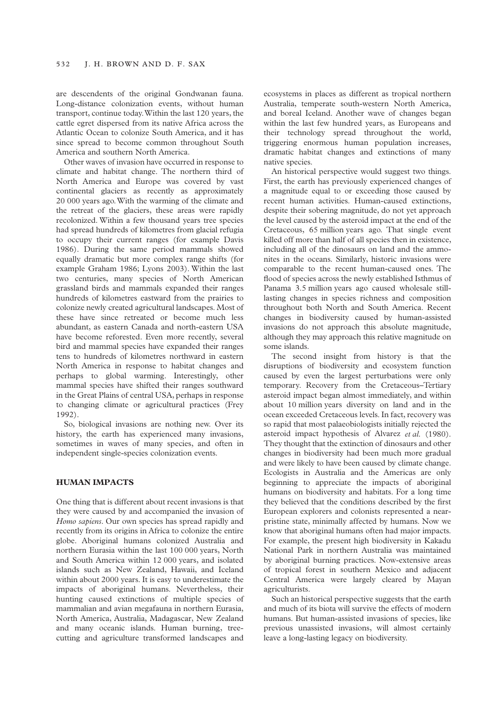are descendents of the original Gondwanan fauna. Long-distance colonization events, without human transport, continue today. Within the last 120 years, the cattle egret dispersed from its native Africa across the Atlantic Ocean to colonize South America, and it has since spread to become common throughout South America and southern North America.

Other waves of invasion have occurred in response to climate and habitat change. The northern third of North America and Europe was covered by vast continental glaciers as recently as approximately 20 000 years ago. With the warming of the climate and the retreat of the glaciers, these areas were rapidly recolonized. Within a few thousand years tree species had spread hundreds of kilometres from glacial refugia to occupy their current ranges (for example Davis 1986). During the same period mammals showed equally dramatic but more complex range shifts (for example Graham 1986; Lyons 2003). Within the last two centuries, many species of North American grassland birds and mammals expanded their ranges hundreds of kilometres eastward from the prairies to colonize newly created agricultural landscapes. Most of these have since retreated or become much less abundant, as eastern Canada and north-eastern USA have become reforested. Even more recently, several bird and mammal species have expanded their ranges tens to hundreds of kilometres northward in eastern North America in response to habitat changes and perhaps to global warming. Interestingly, other mammal species have shifted their ranges southward in the Great Plains of central USA, perhaps in response to changing climate or agricultural practices (Frey 1992).

So, biological invasions are nothing new. Over its history, the earth has experienced many invasions, sometimes in waves of many species, and often in independent single-species colonization events.

## **HUMAN IMPACTS**

One thing that is different about recent invasions is that they were caused by and accompanied the invasion of *Homo sapiens*. Our own species has spread rapidly and recently from its origins in Africa to colonize the entire globe. Aboriginal humans colonized Australia and northern Eurasia within the last 100 000 years, North and South America within 12 000 years, and isolated islands such as New Zealand, Hawaii, and Iceland within about 2000 years. It is easy to underestimate the impacts of aboriginal humans. Nevertheless, their hunting caused extinctions of multiple species of mammalian and avian megafauna in northern Eurasia, North America, Australia, Madagascar, New Zealand and many oceanic islands. Human burning, treecutting and agriculture transformed landscapes and

ecosystems in places as different as tropical northern Australia, temperate south-western North America, and boreal Iceland. Another wave of changes began within the last few hundred years, as Europeans and their technology spread throughout the world, triggering enormous human population increases, dramatic habitat changes and extinctions of many native species.

An historical perspective would suggest two things. First, the earth has previously experienced changes of a magnitude equal to or exceeding those caused by recent human activities. Human-caused extinctions, despite their sobering magnitude, do not yet approach the level caused by the asteroid impact at the end of the Cretaceous, 65 million years ago. That single event killed off more than half of all species then in existence, including all of the dinosaurs on land and the ammonites in the oceans. Similarly, historic invasions were comparable to the recent human-caused ones. The flood of species across the newly established Isthmus of Panama 3.5 million years ago caused wholesale stilllasting changes in species richness and composition throughout both North and South America. Recent changes in biodiversity caused by human-assisted invasions do not approach this absolute magnitude, although they may approach this relative magnitude on some islands.

The second insight from history is that the disruptions of biodiversity and ecosystem function caused by even the largest perturbations were only temporary. Recovery from the Cretaceous–Tertiary asteroid impact began almost immediately, and within about 10 million years diversity on land and in the ocean exceeded Cretaceous levels. In fact, recovery was so rapid that most palaeobiologists initially rejected the asteroid impact hypothesis of Alvarez *et al.* (1980). They thought that the extinction of dinosaurs and other changes in biodiversity had been much more gradual and were likely to have been caused by climate change. Ecologists in Australia and the Americas are only beginning to appreciate the impacts of aboriginal humans on biodiversity and habitats. For a long time they believed that the conditions described by the first European explorers and colonists represented a nearpristine state, minimally affected by humans. Now we know that aboriginal humans often had major impacts. For example, the present high biodiversity in Kakadu National Park in northern Australia was maintained by aboriginal burning practices. Now-extensive areas of tropical forest in southern Mexico and adjacent Central America were largely cleared by Mayan agriculturists.

Such an historical perspective suggests that the earth and much of its biota will survive the effects of modern humans. But human-assisted invasions of species, like previous unassisted invasions, will almost certainly leave a long-lasting legacy on biodiversity.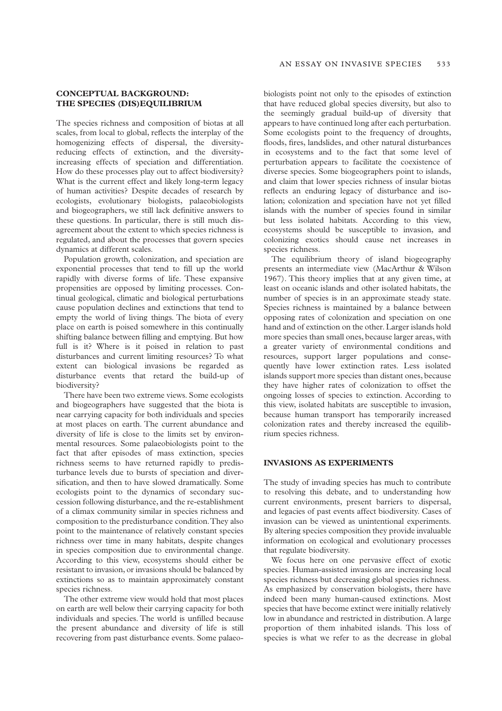#### **CONCEPTUAL BACKGROUND: THE SPECIES (DIS)EQUILIBRIUM**

The species richness and composition of biotas at all scales, from local to global, reflects the interplay of the homogenizing effects of dispersal, the diversityreducing effects of extinction, and the diversityincreasing effects of speciation and differentiation. How do these processes play out to affect biodiversity? What is the current effect and likely long-term legacy of human activities? Despite decades of research by ecologists, evolutionary biologists, palaeobiologists and biogeographers, we still lack definitive answers to these questions. In particular, there is still much disagreement about the extent to which species richness is regulated, and about the processes that govern species dynamics at different scales.

Population growth, colonization, and speciation are exponential processes that tend to fill up the world rapidly with diverse forms of life. These expansive propensities are opposed by limiting processes. Continual geological, climatic and biological perturbations cause population declines and extinctions that tend to empty the world of living things. The biota of every place on earth is poised somewhere in this continually shifting balance between filling and emptying. But how full is it? Where is it poised in relation to past disturbances and current limiting resources? To what extent can biological invasions be regarded as disturbance events that retard the build-up of biodiversity?

There have been two extreme views. Some ecologists and biogeographers have suggested that the biota is near carrying capacity for both individuals and species at most places on earth. The current abundance and diversity of life is close to the limits set by environmental resources. Some palaeobiologists point to the fact that after episodes of mass extinction, species richness seems to have returned rapidly to predisturbance levels due to bursts of speciation and diversification, and then to have slowed dramatically. Some ecologists point to the dynamics of secondary succession following disturbance, and the re-establishment of a climax community similar in species richness and composition to the predisturbance condition. They also point to the maintenance of relatively constant species richness over time in many habitats, despite changes in species composition due to environmental change. According to this view, ecosystems should either be resistant to invasion, or invasions should be balanced by extinctions so as to maintain approximately constant species richness.

The other extreme view would hold that most places on earth are well below their carrying capacity for both individuals and species. The world is unfilled because the present abundance and diversity of life is still recovering from past disturbance events. Some palaeobiologists point not only to the episodes of extinction that have reduced global species diversity, but also to the seemingly gradual build-up of diversity that appears to have continued long after each perturbation. Some ecologists point to the frequency of droughts, floods, fires, landslides, and other natural disturbances in ecosystems and to the fact that some level of perturbation appears to facilitate the coexistence of diverse species. Some biogeographers point to islands, and claim that lower species richness of insular biotas reflects an enduring legacy of disturbance and isolation; colonization and speciation have not yet filled islands with the number of species found in similar but less isolated habitats. According to this view, ecosystems should be susceptible to invasion, and colonizing exotics should cause net increases in species richness.

The equilibrium theory of island biogeography presents an intermediate view (MacArthur & Wilson 1967). This theory implies that at any given time, at least on oceanic islands and other isolated habitats, the number of species is in an approximate steady state. Species richness is maintained by a balance between opposing rates of colonization and speciation on one hand and of extinction on the other. Larger islands hold more species than small ones, because larger areas, with a greater variety of environmental conditions and resources, support larger populations and consequently have lower extinction rates. Less isolated islands support more species than distant ones, because they have higher rates of colonization to offset the ongoing losses of species to extinction. According to this view, isolated habitats are susceptible to invasion, because human transport has temporarily increased colonization rates and thereby increased the equilibrium species richness.

### **INVASIONS AS EXPERIMENTS**

The study of invading species has much to contribute to resolving this debate, and to understanding how current environments, present barriers to dispersal, and legacies of past events affect biodiversity. Cases of invasion can be viewed as unintentional experiments. By altering species composition they provide invaluable information on ecological and evolutionary processes that regulate biodiversity.

We focus here on one pervasive effect of exotic species. Human-assisted invasions are increasing local species richness but decreasing global species richness. As emphasized by conservation biologists, there have indeed been many human-caused extinctions. Most species that have become extinct were initially relatively low in abundance and restricted in distribution. A large proportion of them inhabited islands. This loss of species is what we refer to as the decrease in global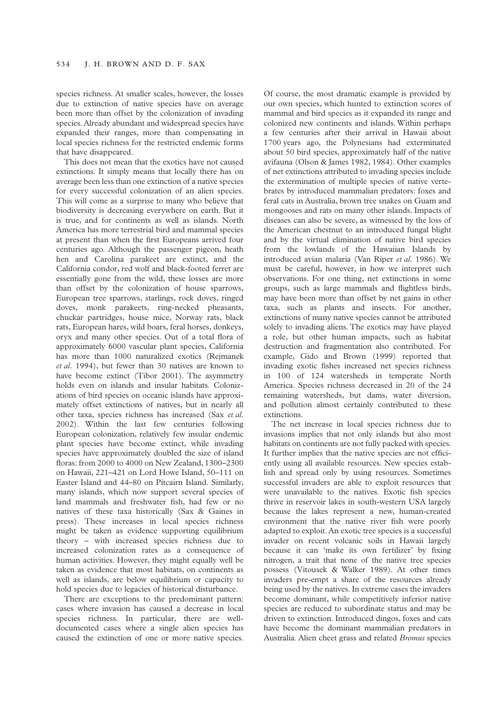species richness. At smaller scales, however, the losses due to extinction of native species have on average been more than offset by the colonization of invading species. Already abundant and widespread species have expanded their ranges, more than compensating in local species richness for the restricted endemic forms that have disappeared.

This does not mean that the exotics have not caused extinctions. It simply means that locally there has on average been less than one extinction of a native species for every successful colonization of an alien species. This will come as a surprise to many who believe that biodiversity is decreasing everywhere on earth. But it is true, and for continents as well as islands. North America has more terrestrial bird and mammal species at present than when the first Europeans arrived four centuries ago. Although the passenger pigeon, heath hen and Carolina parakeet are extinct, and the California condor, red wolf and black-footed ferret are essentially gone from the wild, these losses are more than offset by the colonization of house sparrows, European tree sparrows, starlings, rock doves, ringed doves, monk parakeets, ring-necked pheasants, chuckar partridges, house mice, Norway rats, black rats, European hares, wild boars, feral horses, donkeys, oryx and many other species. Out of a total flora of approximately 6000 vascular plant species, California has more than 1000 naturalized exotics (Rejmanek *et al.* 1994), but fewer than 30 natives are known to have become extinct (Tibor 2001). The asymmetry holds even on islands and insular habitats. Colonizations of bird species on oceanic islands have approximately offset extinctions of natives, but in nearly all other taxa, species richness has increased (Sax *et al.* 2002). Within the last few centuries following European colonization, relatively few insular endemic plant species have become extinct, while invading species have approximately doubled the size of island floras: from 2000 to 4000 on New Zealand, 1300–2300 on Hawaii, 221–421 on Lord Howe Island, 50–111 on Easter Island and 44–80 on Pitcairn Island. Similarly, many islands, which now support several species of land mammals and freshwater fish, had few or no natives of these taxa historically (Sax & Gaines in press). These increases in local species richness might be taken as evidence supporting equilibrium theory – with increased species richness due to increased colonization rates as a consequence of human activities. However, they might equally well be taken as evidence that most habitats, on continents as well as islands, are below equilibrium or capacity to hold species due to legacies of historical disturbance.

There are exceptions to the predominant pattern: cases where invasion has caused a decrease in local species richness. In particular, there are welldocumented cases where a single alien species has caused the extinction of one or more native species.

Of course, the most dramatic example is provided by our own species, which hunted to extinction scores of mammal and bird species as it expanded its range and colonized new continents and islands. Within perhaps a few centuries after their arrival in Hawaii about 1700 years ago, the Polynesians had exterminated about 50 bird species, approximately half of the native avifauna (Olson & James 1982, 1984). Other examples of net extinctions attributed to invading species include the extermination of multiple species of native vertebrates by introduced mammalian predators: foxes and feral cats in Australia, brown tree snakes on Guam and mongooses and rats on many other islands. Impacts of diseases can also be severe, as witnessed by the loss of the American chestnut to an introduced fungal blight and by the virtual elimination of native bird species from the lowlands of the Hawaiian Islands by introduced avian malaria (Van Riper *et al.* 1986). We must be careful, however, in how we interpret such observations. For one thing, net extinctions in some groups, such as large mammals and flightless birds, may have been more than offset by net gains in other taxa, such as plants and insects. For another, extinctions of many native species cannot be attributed solely to invading aliens. The exotics may have played a role, but other human impacts, such as habitat destruction and fragmentation also contributed. For example, Gido and Brown (1999) reported that invading exotic fishes increased net species richness in 100 of 124 watersheds in temperate North America. Species richness decreased in 20 of the 24 remaining watersheds, but dams, water diversion, and pollution almost certainly contributed to these extinctions.

The net increase in local species richness due to invasions implies that not only islands but also most habitats on continents are not fully packed with species. It further implies that the native species are not efficiently using all available resources. New species establish and spread only by using resources. Sometimes successful invaders are able to exploit resources that were unavailable to the natives. Exotic fish species thrive in reservoir lakes in south-western USA largely because the lakes represent a new, human-created environment that the native river fish were poorly adapted to exploit. An exotic tree species is a successful invader on recent volcanic soils in Hawaii largely because it can 'make its own fertilizer' by fixing nitrogen, a trait that none of the native tree species possess (Vitousek & Walker 1989). At other times invaders pre-empt a share of the resources already being used by the natives. In extreme cases the invaders become dominant, while competitively inferior native species are reduced to subordinate status and may be driven to extinction. Introduced dingos, foxes and cats have become the dominant mammalian predators in Australia. Alien cheet grass and related *Bromus* species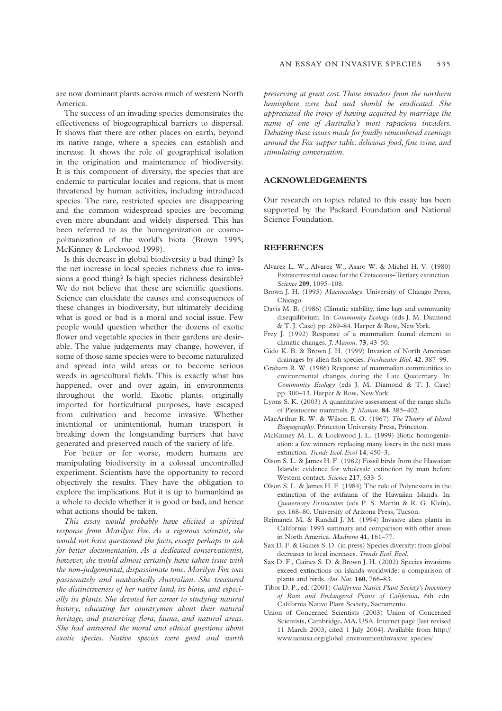are now dominant plants across much of western North America.

The success of an invading species demonstrates the effectiveness of biogeographical barriers to dispersal. It shows that there are other places on earth, beyond its native range, where a species can establish and increase. It shows the role of geographical isolation in the origination and maintenance of biodiversity. It is this component of diversity, the species that are endemic to particular locales and regions, that is most threatened by human activities, including introduced species. The rare, restricted species are disappearing and the common widespread species are becoming even more abundant and widely dispersed. This has been referred to as the homogenization or cosmopolitanization of the world's biota (Brown 1995; McKinney & Lockwood 1999).

Is this decrease in global biodiversity a bad thing? Is the net increase in local species richness due to invasions a good thing? Is high species richness desirable? We do not believe that these are scientific questions. Science can elucidate the causes and consequences of these changes in biodiversity, but ultimately deciding what is good or bad is a moral and social issue. Few people would question whether the dozens of exotic flower and vegetable species in their gardens are desirable. The value judgements may change, however, if some of those same species were to become naturalized and spread into wild areas or to become serious weeds in agricultural fields. This is exactly what has happened, over and over again, in environments throughout the world. Exotic plants, originally imported for horticultural purposes, have escaped from cultivation and become invasive. Whether intentional or unintentional, human transport is breaking down the longstanding barriers that have generated and preserved much of the variety of life.

For better or for worse, modern humans are manipulating biodiversity in a colossal uncontrolled experiment. Scientists have the opportunity to record objectively the results. They have the obligation to explore the implications. But it is up to humankind as a whole to decide whether it is good or bad, and hence what actions should be taken.

*This essay would probably have elicited a spirited response from Marilyn Fox. As a rigorous scientist, she would not have questioned the facts, except perhaps to ask for better documentation. As a dedicated conservationist, however, she would almost certainly have taken issue with the non-judgemental, dispassionate tone. Marilyn Fox was passionately and unabashedly Australian. She treasured the distinctiveness of her native land, its biota, and especially its plants. She devoted her career to studying natural history, educating her countrymen about their natural heritage, and preserving flora, fauna, and natural areas. She had answered the moral and ethical questions about exotic species. Native species were good and worth*

*preserving at great cost. Those invaders from the northern hemisphere were bad and should be eradicated. She appreciated the irony of having acquired by marriage the name of one of Australia's most rapacious invaders. Debating these issues made for fondly remembered evenings around the Fox supper table: delicious food, fine wine, and stimulating conversation.*

## **ACKNOWLEDGEMENTS**

Our research on topics related to this essay has been supported by the Packard Foundation and National Science Foundation.

#### **REFERENCES**

- Alvarez L. W., Alvarez W., Asaro W. & Michel H. V. (1980) Extraterrestrial cause for the Cretaceous–Tertiary extinction. *Science* **209**, 1095–108.
- Brown J. H. (1995) *Macroecology*. University of Chicago Press, Chicago.
- Davis M. B. (1986) Climatic stability, time lags and community disequilibrium. In: *Community Ecology* (eds J. M. Diamond & T. J. Case) pp. 269–84. Harper & Row, New York.
- Frey J. (1992) Response of a mammalian faunal element to climatic changes. *J. Mamm.* **73**, 43–50.
- Gido K. B. & Brown J. H. (1999) Invasion of North American drainages by alien fish species. *Freshwater Biol.* **42**, 387–99.
- Graham R. W. (1986) Response of mammalian communities to environmental changes during the Late Quaternary. In: *Community Ecology* (eds J. M. Diamond & T. J. Case) pp. 300–13. Harper & Row, New York.
- Lyons S. K. (2003) A quantitative assessment of the range shifts of Pleistocene mammals. *J. Mamm.* **84**, 385–402.
- MacArthur R. W. & Wilson E. O. (1967) *The Theory of Island Biogeography*. Princeton University Press, Princeton.
- McKinney M. L. & Lockwood J. L. (1999) Biotic homogenization: a few winners replacing many losers in the next mass extinction. *Trends Ecol. Evol* **14**, 450–3.
- Olson S. L. & James H. F. (1982) Fossil birds from the Hawaiian Islands: evidence for wholesale extinction by man before Western contact. *Science* **217**, 633–5.
- Olson S. L. & James H. F. (1984) The role of Polynesians in the extinction of the avifauna of the Hawaiian Islands. In: *Quaternary Extinctions* (eds P. S. Martin & R. G. Klein), pp. 168–80. University of Arizona Press, Tucson.
- Rejmanek M. & Randall J. M. (1994) Invasive alien plants in California: 1993 summary and comparison with other areas in North America. *Madrono* **41**, 161–77.
- Sax D. F. & Gaines S. D. (in press) Species diversity: from global decreases to local increases. *Trends Ecol. Evol*.
- Sax D. F., Gaines S. D. & Brown J. H. (2002) Species invasions exceed extinctions on islands worldwide: a comparison of plants and birds. *Am. Nat.* **160**, 766–83.
- Tibor D. P., ed. (2001) *California Native Plant Society's Inventory of Rare and Endangered Plants of California*, 6th edn. California Native Plant Society, Sacramento.
- Union of Concerned Scientists (2003) Union of Concerned Scientists, Cambridge, MA, USA. Internet page [last revised 11 March 2003, cited 1 July 2004]. Available from http:// www.ucsusa.org/global\_environment/invasive\_species/